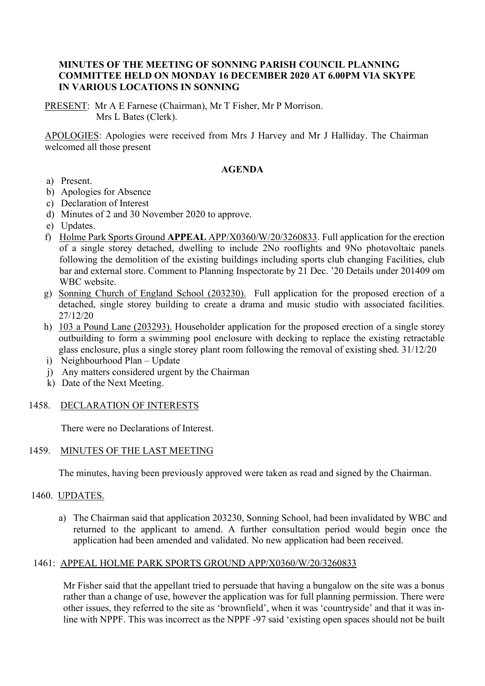#### **MINUTES OF THE MEETING OF SONNING PARISH COUNCIL PLANNING COMMITTEE HELD ON MONDAY 16 DECEMBER 2020 AT 6.00PM VIA SKYPE IN VARIOUS LOCATIONS IN SONNING**

PRESENT: Mr A E Farnese (Chairman), Mr T Fisher, Mr P Morrison. Mrs L Bates (Clerk).

APOLOGIES: Apologies were received from Mrs J Harvey and Mr J Halliday. The Chairman welcomed all those present

#### **AGENDA**

- a) Present.
- b) Apologies for Absence
- c) Declaration of Interest
- d) Minutes of 2 and 30 November 2020 to approve.
- e) Updates.
- f) Holme Park Sports Ground **APPEAL** APP/X0360/W/20/3260833. Full application for the erection of a single storey detached, dwelling to include 2No rooflights and 9No photovoltaic panels following the demolition of the existing buildings including sports club changing Facilities, club bar and external store. Comment to Planning Inspectorate by 21 Dec. '20 Details under 201409 om WBC website.
- g) Sonning Church of England School (203230). Full application for the proposed erection of a detached, single storey building to create a drama and music studio with associated facilities. 27/12/20
- h) 103 a Pound Lane (203293). Householder application for the proposed erection of a single storey outbuilding to form a swimming pool enclosure with decking to replace the existing retractable glass enclosure, plus a single storey plant room following the removal of existing shed. 31/12/20
- i) Neighbourhood Plan Update
- j) Any matters considered urgent by the Chairman
- k) Date of the Next Meeting.

# 1458. DECLARATION OF INTERESTS

There were no Declarations of Interest.

# 1459. MINUTES OF THE LAST MEETING

The minutes, having been previously approved were taken as read and signed by the Chairman.

#### 1460. UPDATES.

a) The Chairman said that application 203230, Sonning School, had been invalidated by WBC and returned to the applicant to amend. A further consultation period would begin once the application had been amended and validated. No new application had been received.

# 1461: APPEAL HOLME PARK SPORTS GROUND APP/X0360/W/20/3260833

Mr Fisher said that the appellant tried to persuade that having a bungalow on the site was a bonus rather than a change of use, however the application was for full planning permission. There were other issues, they referred to the site as 'brownfield', when it was 'countryside' and that it was inline with NPPF. This was incorrect as the NPPF -97 said 'existing open spaces should not be built